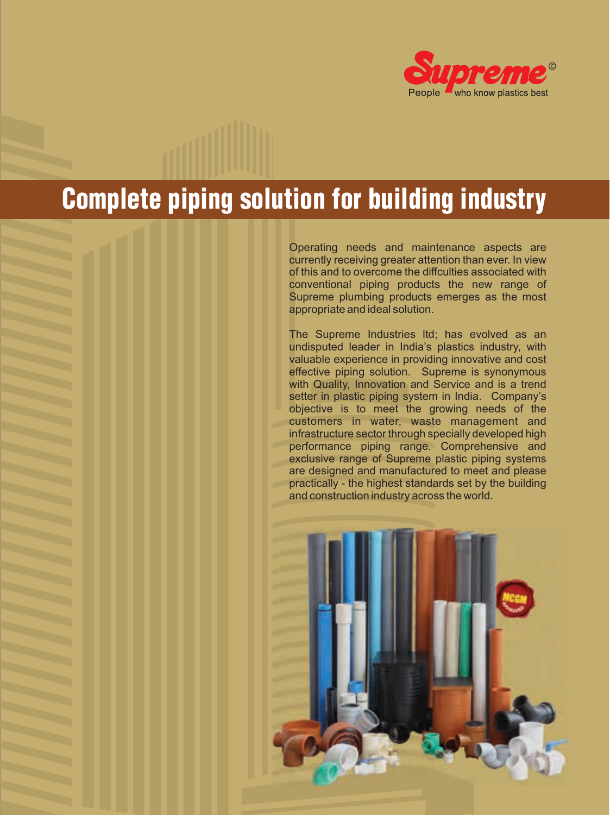

# Complete piping solution for building industry

Operating needs and maintenance aspects are currently receiving greater attention than ever. In view of this and to overcome the diffculties associated with conventional piping products the new range of Supreme plumbing products emerges as the most appropriate and ideal solution.

The Supreme Industries ltd; has evolved as an undisputed leader in India's plastics industry, with valuable experience in providing innovative and cost effective piping solution. Supreme is synonymous with Quality, Innovation and Service and is a trend setter in plastic piping system in India. Company's objective is to meet the growing needs of the customers in water, waste management and infrastructure sector through specially developed high performance piping range. Comprehensive and exclusive range of Supreme plastic piping systems are designed and manufactured to meet and please practically - the highest standards set by the building and construction industry across the world.

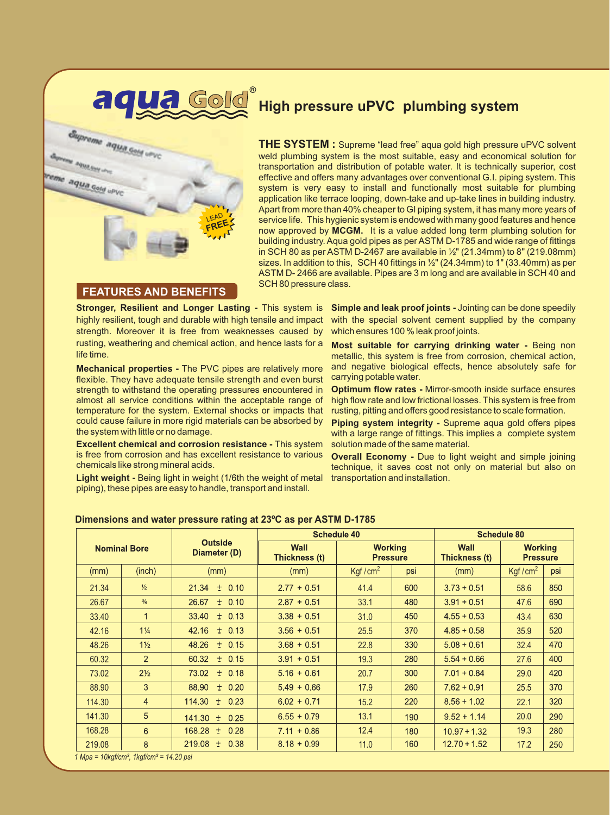

# **High pressure uPVC plumbing system**

**THE SYSTEM :** Supreme "lead free" aqua gold high pressure uPVC solvent weld plumbing system is the most suitable, easy and economical solution for transportation and distribution of potable water. It is technically superior, cost effective and offers many advantages over conventional G.I. piping system. This system is very easy to install and functionally most suitable for plumbing application like terrace looping, down-take and up-take lines in building industry. Apart from more than 40% cheaper to GI piping system, it has many more years of service life. This hygienic system is endowed with many good features and hence now approved by **MCGM.** It is a value added long term plumbing solution for building industry. Aqua gold pipes as per ASTM D-1785 and wide range of fittings in SCH 80 as per ASTM D-2467 are available in  $\frac{1}{2}$ " (21.34mm) to 8" (219.08mm) sizes. In addition to this, SCH 40 fittings in  $\frac{1}{2}$ " (24.34mm) to 1" (33.40mm) as per ASTM D- 2466 are available. Pipes are 3 m long and are available in SCH 40 and SCH 80 pressure class.

#### **FEATURES AND BENEFITS**

**Stronger, Resilient and Longer Lasting - This system is** highly resilient, tough and durable with high tensile and impact strength. Moreover it is free from weaknesses caused by rusting, weathering and chemical action, and hence lasts for a life time.

**Mechanical properties -** The PVC pipes are relatively more flexible. They have adequate tensile strength and even burst strength to withstand the operating pressures encountered in almost all service conditions within the acceptable range of temperature for the system. External shocks or impacts that could cause failure in more rigid materials can be absorbed by the system with little or no damage.

**Excellent chemical and corrosion resistance -** This system is free from corrosion and has excellent resistance to various chemicals like strong mineral acids.

**Light weight -** Being light in weight (1/6th the weight of metal piping), these pipes are easy to handle, transport and install.

**Simple and leak proof joints -** Jointing can be done speedily with the special solvent cement supplied by the company which ensures 100 % leak proof joints.

**Most suitable for carrying drinking water -** Being non metallic, this system is free from corrosion, chemical action, and negative biological effects, hence absolutely safe for carrying potable water.

**Optimum flow rates -** Mirror-smooth inside surface ensures high flow rate and low frictional losses. This system is free from rusting, pitting and offers good resistance to scale formation.

**Piping system integrity -** Supreme aqua gold offers pipes with a large range of fittings. This implies a complete system solution made of the same material.

**Overall Economy -** Due to light weight and simple joining technique, it saves cost not only on material but also on transportation and installation.

| <b>Nominal Bore</b> |                |                                |                              | <b>Schedule 40</b>                | <b>Schedule 80</b> |                              |                                   |     |
|---------------------|----------------|--------------------------------|------------------------------|-----------------------------------|--------------------|------------------------------|-----------------------------------|-----|
|                     |                | <b>Outside</b><br>Diameter (D) | <b>Wall</b><br>Thickness (t) | <b>Working</b><br><b>Pressure</b> |                    | <b>Wall</b><br>Thickness (t) | <b>Working</b><br><b>Pressure</b> |     |
| (mm)                | (inch)         | (mm)                           | (mm)                         | Kgf/ $cm2$                        | psi                | (mm)                         | Kgf/cm <sup>2</sup>               | psi |
| 21.34               | $\frac{1}{2}$  | $21.34 + 0.10$                 | $2.77 + 0.51$                | 41.4                              | 600                | $3.73 + 0.51$                | 58.6                              | 850 |
| 26.67               | $\frac{3}{4}$  | $+ 0.10$<br>26.67              | $2.87 + 0.51$                | 33.1                              | 480                | $3.91 + 0.51$                | 47.6                              | 690 |
| 33.40               | 1              | $33.40 + 0.13$                 | $3.38 + 0.51$                | 31.0                              | 450                | $4.55 + 0.53$                | 43.4                              | 630 |
| 42.16               | $1\frac{1}{4}$ | 42.16<br>$+ 0.13$              | $3.56 + 0.51$                | 25.5                              | 370                | $4.85 + 0.58$                | 35.9                              | 520 |
| 48.26               | $1\frac{1}{2}$ | 48.26<br>$+ 0.15$              | $3.68 + 0.51$                | 22.8                              | 330                | $5.08 + 0.61$                | 32.4                              | 470 |
| 60.32               | $\overline{2}$ | $60.32 + 0.15$                 | $3.91 + 0.51$                | 19.3                              | 280                | $5.54 + 0.66$                | 27.6                              | 400 |
| 73.02               | $2\frac{1}{2}$ | $+ 0.18$<br>73.02              | $5.16 + 0.61$                | 20.7                              | 300                | $7.01 + 0.84$                | 29.0                              | 420 |
| 88.90               | 3              | $88.90 + 0.20$                 | $5.49 + 0.66$                | 17.9                              | 260                | $7.62 + 0.91$                | 25.5                              | 370 |
| 114.30              | $\overline{4}$ | $114.30 + 0.23$                | $6.02 + 0.71$                | 15.2                              | 220                | $8.56 + 1.02$                | 22.1                              | 320 |
| 141.30              | 5              | $141.30 +$<br>0.25             | $6.55 + 0.79$                | 13.1                              | 190                | $9.52 + 1.14$                | 20.0                              | 290 |
| 168.28              | 6              | $168.28 \pm$<br>0.28           | $7.11 + 0.86$                | 12.4                              | 180                | $10.97 + 1.32$               | 19.3                              | 280 |
| 219.08              | 8              | $219.08 +$<br>0.38             | $8.18 + 0.99$                | 11.0                              | 160                | $12.70 + 1.52$               | 17.2                              | 250 |

#### **Dimensions and water pressure rating at 23ºC as per ASTM D-1785**

*1 Mpa = 10kgf/cm², 1kgf/cm² = 14.20 psi*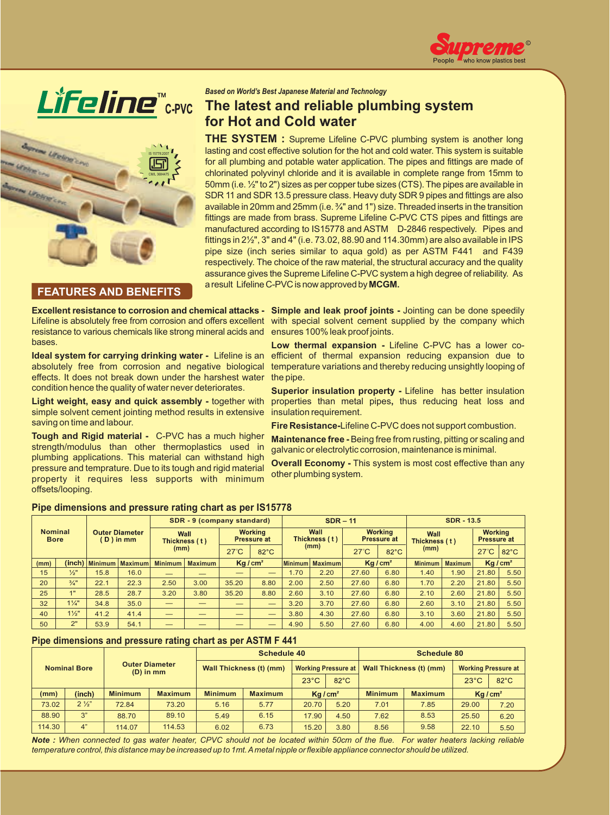





#### **FEATURES AND BENEFITS**

*Based on World's Best Japanese Material and Technology* 

# **The latest and reliable plumbing system for Hot and Cold water**

**THE SYSTEM :** Supreme Lifeline C-PVC plumbing system is another long lasting and cost effective solution for the hot and cold water. This system is suitable for all plumbing and potable water application. The pipes and fittings are made of chlorinated polyvinyl chloride and it is available in complete range from 15mm to 50mm (i.e. ½" to 2") sizes as per copper tube sizes (CTS). The pipes are available in SDR 11 and SDR 13.5 pressure class. Heavy duty SDR 9 pipes and fittings are also available in 20mm and 25mm (i.e. ¾" and 1") size. Threaded inserts in the transition fittings are made from brass. Supreme Lifeline C-PVC CTS pipes and fittings are manufactured according to IS15778 and ASTM D-2846 respectively. Pipes and fittings in  $2\frac{1}{2}$ , 3" and 4" (i.e. 73.02, 88.90 and 114.30mm) are also available in IPS pipe size (inch series similar to aqua gold) as per ASTM F441 and F439 respectively. The choice of the raw material, the structural accuracy and the quality assurance gives the Supreme Lifeline C-PVC system a high degree of reliability. As a result Lifeline C-PVC is now approved by **MCGM.** 

**Excellent resistance to corrosion and chemical attacks -**  Lifeline is absolutely free from corrosion and offers excellent resistance to various chemicals like strong mineral acids and bases.

**Ideal system for carrying drinking water -** Lifeline is an absolutely free from corrosion and negative biological effects. It does not break down under the harshest water condition hence the quality of water never deteriorates.

**Light weight, easy and quick assembly -** together with simple solvent cement jointing method results in extensive saving on time and labour.

**Tough and Rigid material -** C-PVC has a much higher strength/modulus than other thermoplastics used in plumbing applications. This material can withstand high pressure and temprature. Due to its tough and rigid material property it requires less supports with minimum offsets/looping.

**Simple and leak proof joints -** Jointing can be done speedily with special solvent cement supplied by the company which ensures 100% leak proof joints.

**Low thermal expansion -** Lifeline C-PVC has a lower coefficient of thermal expansion reducing expansion due to temperature variations and thereby reducing unsightly looping of the pipe.

**Superior insulation property -** Lifeline has better insulation properties than metal pipes**,** thus reducing heat loss and insulation requirement.

**Fire Resistance-**Lifeline C-PVC does not support combustion.

**Maintenance free -** Being free from rusting, pitting or scaling and galvanic or electrolytic corrosion, maintenance is minimal.

**Overall Economy - This system is most cost effective than any** other plumbing system.

| <b>Nominal</b><br><b>Bore</b> |                 |                                    |         |                               | SDR - 9 (company standard) |                                      | $SDR - 11$               |                       |      |                                      | <b>SDR - 13.5</b>  |                                  |      |                                      |                |
|-------------------------------|-----------------|------------------------------------|---------|-------------------------------|----------------------------|--------------------------------------|--------------------------|-----------------------|------|--------------------------------------|--------------------|----------------------------------|------|--------------------------------------|----------------|
|                               |                 | <b>Outer Diameter</b><br>D ) in mm |         | Wall<br>Thickness (t)<br>(mm) |                            | <b>Working</b><br><b>Pressure at</b> |                          | Wall<br>Thickness (t) |      | <b>Working</b><br><b>Pressure at</b> |                    | Wall<br>Thickness (t)            |      | <b>Working</b><br><b>Pressure at</b> |                |
|                               |                 |                                    |         |                               |                            | $27^\circ C$                         | $82^{\circ}$ C           | (mm)                  |      | $27^{\circ}$ C                       | $82^{\circ}$ C     | (mm)                             |      | $27^{\circ}$ C                       | $82^{\circ}$ C |
| (mm)                          | (inch)          | $\blacksquare$ Minimum             | Maximum | <b>Minimum</b>                | <b>Maximum</b>             | Kq/cm <sup>2</sup>                   |                          | Minimum   Maximum     |      |                                      | Kq/cm <sup>2</sup> | <b>Minimum</b><br><b>Maximum</b> |      | Kq/cm <sup>2</sup>                   |                |
| 15                            | $\frac{1}{2}$ " | 15.8                               | 16.0    |                               |                            | __                                   | $\overline{\phantom{m}}$ | 1.70                  | 2.20 | 27.60                                | 6.80               | 1.40                             | 1.90 | 21.80                                | 5.50           |
| 20                            | $\frac{3}{4}$ " | 22.1                               | 22.3    | 2.50                          | 3.00                       | 35.20                                | 8.80                     | 2.00                  | 2.50 | 27.60                                | 6.80               | 1.70                             | 2.20 | 21.80                                | 5.50           |
| 25                            | 1"              | 28.5                               | 28.7    | 3.20                          | 3.80                       | 35.20                                | 8.80                     | 2.60                  | 3.10 | 27.60                                | 6.80               | 2.10                             | 2.60 | 21.80                                | 5.50           |
| 32                            | $1\frac{1}{4}$  | 34.8                               | 35.0    | __                            | __                         |                                      | $\overline{\phantom{m}}$ | 3.20                  | 3.70 | 27.60                                | 6.80               | 2.60                             | 3.10 | 21.80                                | 5.50           |
| 40                            | $1\frac{1}{2}$  | 41.2                               | 41.4    | $-$                           |                            | __                                   | $\overline{\phantom{m}}$ | 3.80                  | 4.30 | 27.60                                | 6.80               | 3.10                             | 3.60 | 21.80                                | 5.50           |
| 50                            | 2"              | 53.9                               | 54.1    |                               |                            |                                      |                          | 4.90                  | 5.50 | 27.60                                | 6.80               | 4.00                             | 4.60 | 21.80                                | 5.50           |

#### **Pipe dimensions and pressure rating chart as per IS15778**

#### **Pipe dimensions and pressure rating chart as per ASTM F 441**

| <b>Nominal Bore</b> |                | <b>Outer Diameter</b><br>$(D)$ in mm |                |                         | Schedule 40    |                              |                | Schedule 80                      |      |                            |                |  |
|---------------------|----------------|--------------------------------------|----------------|-------------------------|----------------|------------------------------|----------------|----------------------------------|------|----------------------------|----------------|--|
|                     |                |                                      |                | Wall Thickness (t) (mm) |                | <b>Working Pressure at  </b> |                | Wall Thickness (t) (mm)          |      | <b>Working Pressure at</b> |                |  |
|                     |                |                                      |                |                         |                | $23^{\circ}$ C               | $82^{\circ}$ C |                                  |      | $23^{\circ}$ C             | $82^{\circ}$ C |  |
| (mm)                | (inch)         | <b>Minimum</b>                       | <b>Maximum</b> | <b>Minimum</b>          | <b>Maximum</b> | Ka/cm <sup>2</sup>           |                | <b>Maximum</b><br><b>Minimum</b> |      | Ka/cm <sup>2</sup>         |                |  |
| 73.02               | $2\frac{1}{3}$ | 72.84                                | 73.20          | 5.16                    | 5.77           | 20.70                        | 5.20           | 7.01                             | 7.85 | 29.00                      | 7.20           |  |
| 88.90               | 3"             | 88.70                                | 89.10          | 5.49                    | 6.15           | 17.90                        | 4.50           | 7.62                             | 8.53 | 25.50                      | 6.20           |  |
| 114.30              | 4"             | 114.07                               | 114.53         | 6.02                    | 6.73           | 15.20                        | 3.80           | 8.56                             | 9.58 | 22.10                      | 5.50           |  |

*Note : When connected to gas water heater, CPVC should not be located within 50cm of the flue. For water heaters lacking reliable temperature control, this distance may be increased up to 1mt. A metal nipple or flexible appliance connector should be utilized.*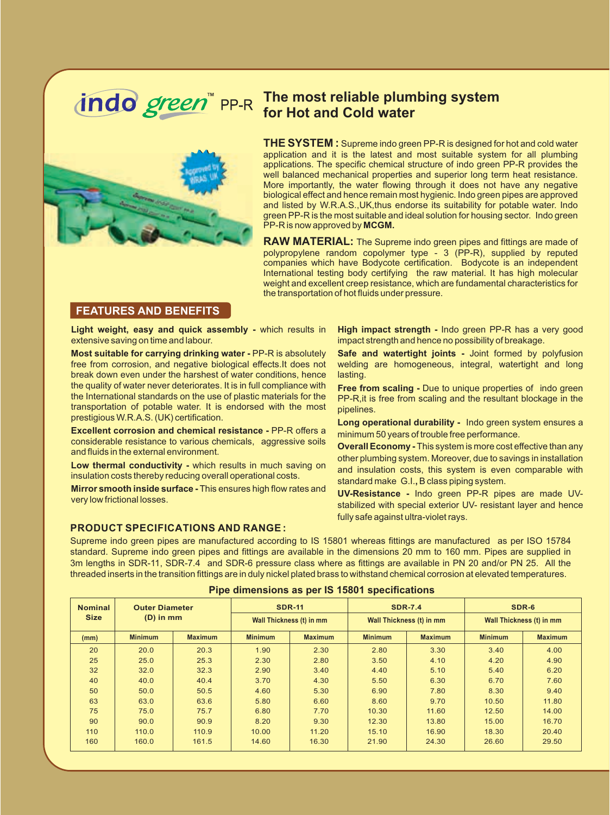

# **The most reliable plumbing system for Hot and Cold water**

**THE SYSTEM :** Supreme indo green PP-R is designed for hot and cold water application and it is the latest and most suitable system for all plumbing applications. The specific chemical structure of indo green PP-R provides the well balanced mechanical properties and superior long term heat resistance. More importantly, the water flowing through it does not have any negative biological effect and hence remain most hygienic. Indo green pipes are approved and listed by W.R.A.S.,UK,thus endorse its suitability for potable water. Indo green PP-R is the most suitable and ideal solution for housing sector. Indo green PP-R is now approved by **MCGM.**

**RAW MATERIAL:** The Supreme indo green pipes and fittings are made of polypropylene random copolymer type - 3 (PP-R), supplied by reputed companies which have Bodycote certification. Bodycote is an independent International testing body certifying the raw material. It has high molecular weight and excellent creep resistance, which are fundamental characteristics for the transportation of hot fluids under pressure.

#### **FEATURES AND BENEFITS**

**Light weight, easy and quick assembly -** which results in extensive saving on time and labour.

**Most suitable for carrying drinking water -** PP-R is absolutely free from corrosion, and negative biological effects.It does not break down even under the harshest of water conditions, hence the quality of water never deteriorates. It is in full compliance with the International standards on the use of plastic materials for the transportation of potable water. It is endorsed with the most prestigious W.R.A.S. (UK) certification.

**Excellent corrosion and chemical resistance -** PP-R offers a considerable resistance to various chemicals, aggressive soils and fluids in the external environment.

**Low thermal conductivity -** which results in much saving on insulation costs thereby reducing overall operational costs.

**Mirror smooth inside surface -** This ensures high flow rates and very low frictional losses.

#### **PRODUCT SPECIFICATIONS AND RANGE :**

**High impact strength -** Indo green PP-R has a very good impact strength and hence no possibility of breakage.

**Safe and watertight joints -** Joint formed by polyfusion welding are homogeneous, integral, watertight and long lasting.

**Free from scaling -** Due to unique properties of indo green PP-R,it is free from scaling and the resultant blockage in the pipelines.

**Long operational durability -** Indo green system ensures a minimum 50 years of trouble free performance.

**Overall Economy -** This system is more cost effective than any other plumbing system. Moreover, due to savings in installation and insulation costs, this system is even comparable with standard make G.I.**,** B class piping system.

**UV-Resistance -** Indo green PP-R pipes are made UVstabilized with special exterior UV- resistant layer and hence fully safe against ultra-violet rays.

Supreme indo green pipes are manufactured according to IS 15801 whereas fittings are manufactured as per ISO 15784 standard. Supreme indo green pipes and fittings are available in the dimensions 20 mm to 160 mm. Pipes are supplied in 3m lengths in SDR-11, SDR-7.4 and SDR-6 pressure class where as fittings are available in PN 20 and/or PN 25. All the threaded inserts in the transition fittings are in duly nickel plated brass to withstand chemical corrosion at elevated temperatures.

| <b>Nominal</b> | <b>Outer Diameter</b><br><b>Size</b><br>$(D)$ in mm |                |                          | <b>SDR-11</b>  |                | <b>SDR-7.4</b>           | SDR-6                    |                |  |
|----------------|-----------------------------------------------------|----------------|--------------------------|----------------|----------------|--------------------------|--------------------------|----------------|--|
|                |                                                     |                | Wall Thickness (t) in mm |                |                | Wall Thickness (t) in mm | Wall Thickness (t) in mm |                |  |
| (mm)           | <b>Minimum</b>                                      | <b>Maximum</b> | <b>Minimum</b>           | <b>Maximum</b> | <b>Minimum</b> | <b>Maximum</b>           | <b>Minimum</b>           | <b>Maximum</b> |  |
| 20             | 20.0                                                | 20.3           | 1.90                     | 2.30           | 2.80           | 3.30                     | 3.40                     | 4.00           |  |
| 25             | 25.0                                                | 25.3           | 2.30                     | 2.80           | 3.50           | 4.10                     | 4.20                     | 4.90           |  |
| 32             | 32.0                                                | 32.3           | 2.90                     | 3.40           | 4.40           | 5.10                     | 5.40                     | 6.20           |  |
| 40             | 40.0                                                | 40.4           | 3.70                     | 4.30           | 5.50           | 6.30                     | 6.70                     | 7.60           |  |
| 50             | 50.0                                                | 50.5           | 4.60                     | 5.30           | 6.90           | 7.80                     | 8.30                     | 9.40           |  |
| 63             | 63.0                                                | 63.6           | 5.80                     | 6.60           | 8.60           | 9.70                     | 10.50                    | 11.80          |  |
| 75             | 75.0                                                | 75.7           | 6.80                     | 7.70           | 10.30          | 11.60                    | 12.50                    | 14.00          |  |
| 90             | 90.0                                                | 90.9           | 8.20                     | 9.30           | 12.30          | 13.80                    | 15.00                    | 16.70          |  |
| 110            | 110.0                                               | 110.9          | 10.00                    | 11.20          | 15.10          | 16.90                    | 18.30                    | 20.40          |  |
| 160            | 160.0                                               | 161.5          | 14.60                    | 16.30          | 21.90          | 24.30                    | 26.60                    | 29.50          |  |

#### **Pipe dimensions as per IS 15801 specifications**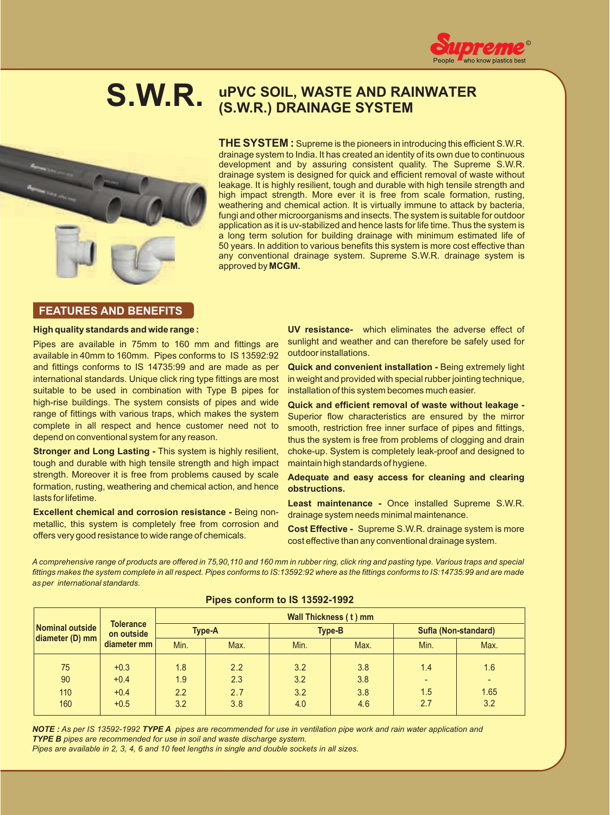



# **uPVC SOIL, WASTE AND RAINWATER S.W.R. (S.W.R.) DRAINAGE SYSTEM**

**THE SYSTEM :** Supreme is the pioneers in introducing this efficient S.W.R. drainage system to India. It has created an identity of its own due to continuous development and by assuring consistent quality. The Supreme S.W.R. drainage system is designed for quick and efficient removal of waste without leakage. It is highly resilient, tough and durable with high tensile strength and high impact strength. More ever it is free from scale formation, rusting, weathering and chemical action. It is virtually immune to attack by bacteria, fungi and other microorganisms and insects. The system is suitable for outdoor application as it is uv-stabilized and hence lasts for life time. Thus the system is a long term solution for building drainage with minimum estimated life of 50 years. In addition to various benefits this system is more cost effective than any conventional drainage system. Supreme S.W.R. drainage system is approved by **MCGM.**

### **FEATURES AND BENEFITS**

#### **High quality standards and wide range :**

Pipes are available in 75mm to 160 mm and fittings are available in 40mm to 160mm. Pipes conforms to IS 13592:92 and fittings conforms to IS 14735:99 and are made as per international standards. Unique click ring type fittings are most suitable to be used in combination with Type B pipes for high-rise buildings. The system consists of pipes and wide range of fittings with various traps, which makes the system complete in all respect and hence customer need not to depend on conventional system for any reason.

**Stronger and Long Lasting - This system is highly resilient,** tough and durable with high tensile strength and high impact strength. Moreover it is free from problems caused by scale formation, rusting, weathering and chemical action, and hence lasts for lifetime.

**Excellent chemical and corrosion resistance -** Being nonmetallic, this system is completely free from corrosion and offers very good resistance to wide range of chemicals.

**UV resistance-** which eliminates the adverse effect of sunlight and weather and can therefore be safely used for outdoor installations.

**Quick and convenient installation -** Being extremely light in weight and provided with special rubber jointing technique, installation of this system becomes much easier.

**Quick and efficient removal of waste without leakage -**  Superior flow characteristics are ensured by the mirror smooth, restriction free inner surface of pipes and fittings, thus the system is free from problems of clogging and drain choke-up. System is completely leak-proof and designed to maintain high standards of hygiene.

#### **Adequate and easy access for cleaning and clearing obstructions.**

**Least maintenance -** Once installed Supreme S.W.R. drainage system needs minimal maintenance.

**Cost Effective -** Supreme S.W.R. drainage system is more cost effective than any conventional drainage system.

*A comprehensive range of products are offered in 75,90,110 and 160 mm in rubber ring, click ring and pasting type. Various traps and special fittings makes the system complete in all respect. Pipes conforms to IS:13592:92 where as the fittings conforms to IS:14735:99 and are made as per international standards.*

|                     | <b>Tolerance</b><br>on outside | Wall Thickness (t) mm |      |      |               |                      |      |  |  |  |
|---------------------|--------------------------------|-----------------------|------|------|---------------|----------------------|------|--|--|--|
| Nominal outside     |                                | <b>Type-A</b>         |      |      | <b>Type-B</b> | Sufla (Non-standard) |      |  |  |  |
| $ $ diameter (D) mm | diameter mm                    | Min.                  | Max. | Min. | Max.          | Min.                 | Max. |  |  |  |
| 75                  | $+0.3$                         | 1.8                   | 2.2  | 3.2  | 3.8           | 1.4                  | 1.6  |  |  |  |
| 90                  | $+0.4$                         | 1.9                   | 2.3  | 3.2  | 3.8           |                      |      |  |  |  |
| 110                 | $+0.4$                         | 2.2                   | 2.7  | 3.2  | 3.8           | 1.5                  | 1.65 |  |  |  |
| 160                 | $+0.5$                         | 3.2                   | 3.8  | 4.0  | 4.6           | 2.7                  | 3.2  |  |  |  |

#### **Pipes conform to IS 13592-1992**

*NOTE : As per IS 13592-1992 TYPE A pipes are recommended for use in ventilation pipe work and rain water application and TYPE B pipes are recommended for use in soil and waste discharge system. Pipes are available in 2, 3, 4, 6 and 10 feet lengths in single and double sockets in all sizes.*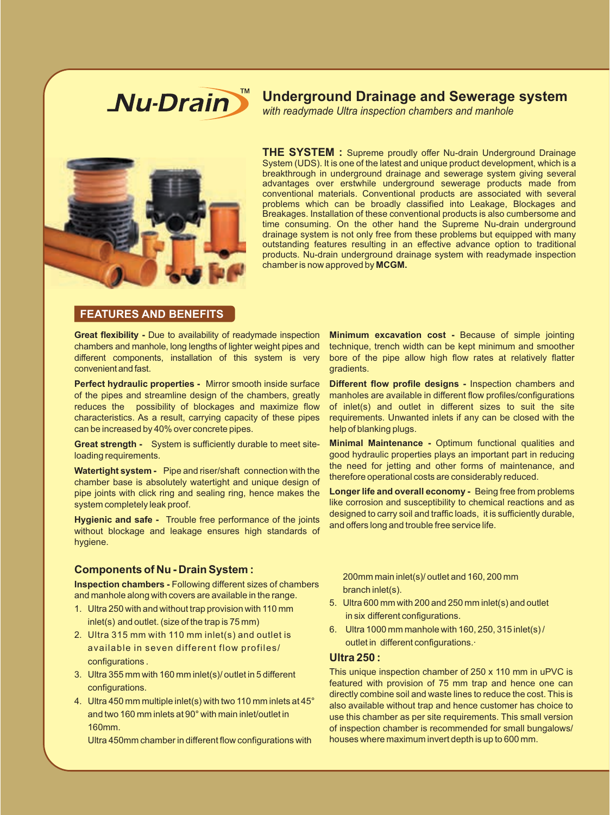

## **Underground Drainage and Sewerage system**

 *with readymade Ultra inspection chambers and manhole*



**THE SYSTEM :** Supreme proudly offer Nu-drain Underground Drainage System (UDS). It is one of the latest and unique product development, which is a breakthrough in underground drainage and sewerage system giving several advantages over erstwhile underground sewerage products made from conventional materials. Conventional products are associated with several problems which can be broadly classified into Leakage, Blockages and Breakages. Installation of these conventional products is also cumbersome and time consuming. On the other hand the Supreme Nu-drain underground drainage system is not only free from these problems but equipped with many outstanding features resulting in an effective advance option to traditional products. Nu-drain underground drainage system with readymade inspection chamber is now approved by **MCGM.**

#### **FEATURES AND BENEFITS**

**Great flexibility -** Due to availability of readymade inspection chambers and manhole, long lengths of lighter weight pipes and different components, installation of this system is very convenient and fast.

**Perfect hydraulic properties -** Mirror smooth inside surface of the pipes and streamline design of the chambers, greatly reduces the possibility of blockages and maximize flow characteristics. As a result, carrying capacity of these pipes can be increased by 40% over concrete pipes.

**Great strength -** System is sufficiently durable to meet siteloading requirements.

**Watertight system -** Pipe and riser/shaft connection with the chamber base is absolutely watertight and unique design of pipe joints with click ring and sealing ring, hence makes the system completely leak proof.

**Hygienic and safe -** Trouble free performance of the joints without blockage and leakage ensures high standards of hygiene.

#### **Components of Nu - Drain System :**

**Inspection chambers -** Following different sizes of chambers and manhole along with covers are available in the range.

- 1. Ultra 250 with and without trap provision with 110 mm inlet(s) and outlet. (size of the trap is 75 mm)
- 2. Ultra 315 mm with 110 mm inlet(s) and outlet is available in seven different flow profiles/ configurations .
- 3. Ultra 355 mm with 160 mm inlet(s)/ outlet in 5 different configurations.
- 4. Ultra 450 mm multiple inlet(s) with two 110 mm inlets at 45° and two 160 mm inlets at 90° with main inlet/outlet in 160mm.

Ultra 450mm chamber in different flow configurations with

**Minimum excavation cost -** Because of simple jointing technique, trench width can be kept minimum and smoother bore of the pipe allow high flow rates at relatively flatter gradients.

**Different flow profile designs -** Inspection chambers and manholes are available in different flow profiles/configurations of inlet(s) and outlet in different sizes to suit the site requirements. Unwanted inlets if any can be closed with the help of blanking plugs.

**Minimal Maintenance -** Optimum functional qualities and good hydraulic properties plays an important part in reducing the need for jetting and other forms of maintenance, and therefore operational costs are considerably reduced.

**Longer life and overall economy -** Being free from problems like corrosion and susceptibility to chemical reactions and as designed to carry soil and traffic loads, it is sufficiently durable, and offers long and trouble free service life.

200mm main inlet(s)/ outlet and 160, 200 mm branch inlet(s).

- 5. Ultra 600 mm with 200 and 250 mm inlet(s) and outlet in six different configurations.
- 6. Ultra 1000 mm manhole with 160, 250, 315 inlet(s) / outlet in different configurations.·

#### **Ultra 250 :**

This unique inspection chamber of 250 x 110 mm in uPVC is featured with provision of 75 mm trap and hence one can directly combine soil and waste lines to reduce the cost. This is also available without trap and hence customer has choice to use this chamber as per site requirements. This small version of inspection chamber is recommended for small bungalows/ houses where maximum invert depth is up to 600 mm.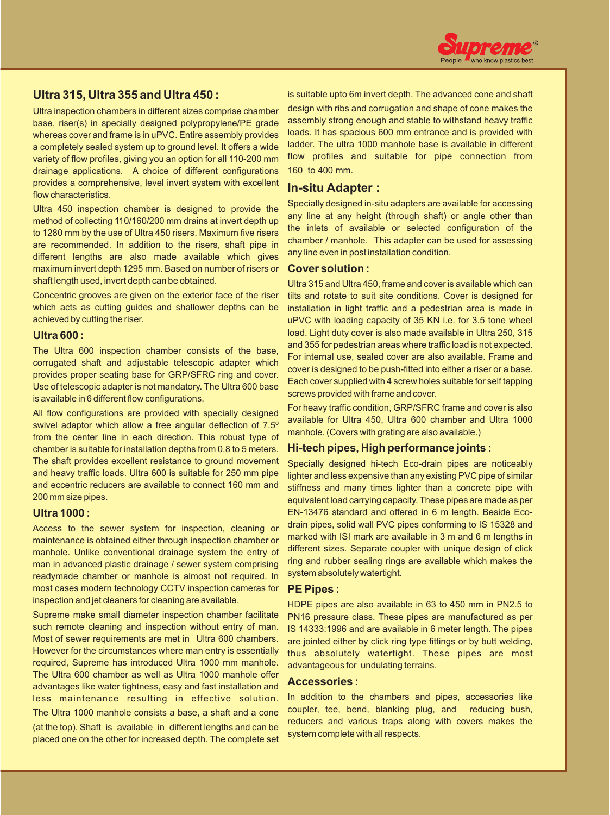

### **Ultra 315, Ultra 355 and Ultra 450 :**

Ultra inspection chambers in different sizes comprise chamber base, riser(s) in specially designed polypropylene/PE grade whereas cover and frame is in uPVC. Entire assembly provides a completely sealed system up to ground level. It offers a wide variety of flow profiles, giving you an option for all 110-200 mm drainage applications. A choice of different configurations provides a comprehensive, level invert system with excellent flow characteristics.

Ultra 450 inspection chamber is designed to provide the method of collecting 110/160/200 mm drains at invert depth up to 1280 mm by the use of Ultra 450 risers. Maximum five risers are recommended. In addition to the risers, shaft pipe in different lengths are also made available which gives maximum invert depth 1295 mm. Based on number of risers or shaft length used, invert depth can be obtained.

Concentric grooves are given on the exterior face of the riser which acts as cutting guides and shallower depths can be achieved by cutting the riser.

#### **Ultra 600 :**

The Ultra 600 inspection chamber consists of the base, corrugated shaft and adjustable telescopic adapter which provides proper seating base for GRP/SFRC ring and cover. Use of telescopic adapter is not mandatory. The Ultra 600 base is available in 6 different flow configurations.

All flow configurations are provided with specially designed swivel adaptor which allow a free angular deflection of 7.5º from the center line in each direction. This robust type of chamber is suitable for installation depths from 0.8 to 5 meters. The shaft provides excellent resistance to ground movement and heavy traffic loads. Ultra 600 is suitable for 250 mm pipe and eccentric reducers are available to connect 160 mm and 200 mm size pipes.

#### **Ultra 1000 :**

Access to the sewer system for inspection, cleaning or maintenance is obtained either through inspection chamber or manhole. Unlike conventional drainage system the entry of man in advanced plastic drainage / sewer system comprising readymade chamber or manhole is almost not required. In most cases modern technology CCTV inspection cameras for inspection and jet cleaners for cleaning are available.

Supreme make small diameter inspection chamber facilitate such remote cleaning and inspection without entry of man. Most of sewer requirements are met in Ultra 600 chambers. However for the circumstances where man entry is essentially required, Supreme has introduced Ultra 1000 mm manhole. The Ultra 600 chamber as well as Ultra 1000 manhole offer advantages like water tightness, easy and fast installation and less maintenance resulting in effective solution. The Ultra 1000 manhole consists a base, a shaft and a cone (at the top). Shaft is available in different lengths and can be placed one on the other for increased depth. The complete set

is suitable upto 6m invert depth. The advanced cone and shaft

design with ribs and corrugation and shape of cone makes the assembly strong enough and stable to withstand heavy traffic loads. It has spacious 600 mm entrance and is provided with ladder. The ultra 1000 manhole base is available in different flow profiles and suitable for pipe connection from 160 to 400 mm.

#### **In-situ Adapter :**

Specially designed in-situ adapters are available for accessing any line at any height (through shaft) or angle other than the inlets of available or selected configuration of the chamber / manhole. This adapter can be used for assessing any line even in post installation condition.

#### **Cover solution :**

Ultra 315 and Ultra 450, frame and cover is available which can tilts and rotate to suit site conditions. Cover is designed for installation in light traffic and a pedestrian area is made in uPVC with loading capacity of 35 KN i.e. for 3.5 tone wheel load. Light duty cover is also made available in Ultra 250, 315 and 355 for pedestrian areas where traffic load is not expected. For internal use, sealed cover are also available. Frame and cover is designed to be push-fitted into either a riser or a base. Each cover supplied with 4 screw holes suitable for self tapping screws provided with frame and cover.

For heavy traffic condition, GRP/SFRC frame and cover is also available for Ultra 450, Ultra 600 chamber and Ultra 1000 manhole. (Covers with grating are also available.)

#### **Hi-tech pipes, High performance joints :**

Specially designed hi-tech Eco-drain pipes are noticeably lighter and less expensive than any existing PVC pipe of similar stiffness and many times lighter than a concrete pipe with equivalent load carrying capacity. These pipes are made as per EN-13476 standard and offered in 6 m length. Beside Ecodrain pipes, solid wall PVC pipes conforming to IS 15328 and marked with ISI mark are available in 3 m and 6 m lengths in different sizes. Separate coupler with unique design of click ring and rubber sealing rings are available which makes the system absolutely watertight.

#### **PE Pipes :**

HDPE pipes are also available in 63 to 450 mm in PN2.5 to PN16 pressure class. These pipes are manufactured as per IS 14333:1996 and are available in 6 meter length. The pipes are jointed either by click ring type fittings or by butt welding, thus absolutely watertight. These pipes are most advantageous for undulating terrains.

#### **Accessories :**

In addition to the chambers and pipes, accessories like coupler, tee, bend, blanking plug, and reducing bush, reducers and various traps along with covers makes the system complete with all respects.